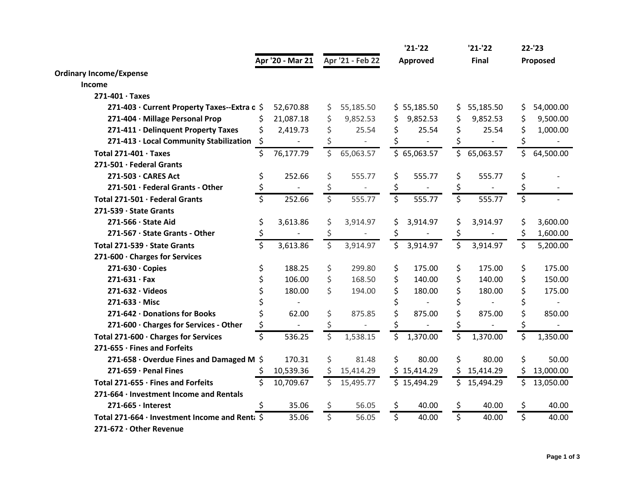|                                                        |                    |                  |                    |                  |                         | $'21-'22$      |                         | $'21-'22$                | 22-'23                  |           |  |
|--------------------------------------------------------|--------------------|------------------|--------------------|------------------|-------------------------|----------------|-------------------------|--------------------------|-------------------------|-----------|--|
|                                                        |                    | Apr '20 - Mar 21 |                    | Apr '21 - Feb 22 | Approved                |                |                         | Final                    | Proposed                |           |  |
| <b>Ordinary Income/Expense</b>                         |                    |                  |                    |                  |                         |                |                         |                          |                         |           |  |
| Income                                                 |                    |                  |                    |                  |                         |                |                         |                          |                         |           |  |
| $271-401 \cdot Taxes$                                  |                    |                  |                    |                  |                         |                |                         |                          |                         |           |  |
| 271-403 · Current Property Taxes--Extra c \$           |                    | 52,670.88        | \$                 | 55,185.50        |                         | \$55,185.50    | \$                      | 55,185.50                | \$                      | 54,000.00 |  |
| 271-404 · Millage Personal Prop                        | S                  | 21,087.18        | \$                 | 9,852.53         | \$                      | 9,852.53       | \$                      | 9,852.53                 |                         | 9,500.00  |  |
| 271-411 · Delinquent Property Taxes                    | Ś.                 | 2,419.73         | \$                 | 25.54            | \$                      | 25.54          | \$                      | 25.54                    |                         | 1,000.00  |  |
| 271-413 · Local Community Stabilization                | \$                 | $\sim$           |                    |                  | \$                      | $\overline{a}$ | \$                      | $\overline{\phantom{0}}$ |                         |           |  |
| Total $271-401 \cdot$ Taxes                            | \$                 | 76,177.79        | \$                 | 65,063.57        |                         | \$65,063.57    | $\zeta$                 | 65,063.57                | \$                      | 64,500.00 |  |
| 271-501 · Federal Grants                               |                    |                  |                    |                  |                         |                |                         |                          |                         |           |  |
| 271-503 · CARES Act                                    | \$                 | 252.66           | \$                 | 555.77           | \$                      | 555.77         | \$                      | 555.77                   | \$                      |           |  |
| 271-501 · Federal Grants - Other                       |                    |                  | \$                 |                  | \$                      |                | \$                      |                          | \$                      |           |  |
| Total 271-501 · Federal Grants                         | \$                 | 252.66           | \$                 | 555.77           | $\overline{\mathsf{S}}$ | 555.77         | $\overline{\mathsf{S}}$ | 555.77                   | $\overline{\mathsf{S}}$ |           |  |
| 271-539 · State Grants                                 |                    |                  |                    |                  |                         |                |                         |                          |                         |           |  |
| 271-566 · State Aid                                    | \$                 | 3,613.86         | \$                 | 3,914.97         | \$                      | 3,914.97       | \$                      | 3,914.97                 | \$                      | 3,600.00  |  |
| 271-567 · State Grants - Other                         |                    |                  | \$                 |                  | \$                      |                | \$                      |                          |                         | 1,600.00  |  |
| Total 271-539 · State Grants                           | $\mathsf{\dot{S}}$ | 3,613.86         | $\mathsf{\dot{S}}$ | 3,914.97         | \$                      | 3,914.97       | $\overline{\mathsf{S}}$ | 3,914.97                 | \$                      | 5,200.00  |  |
| 271-600 · Charges for Services                         |                    |                  |                    |                  |                         |                |                         |                          |                         |           |  |
| $271-630 \cdot C$ opies                                | \$                 | 188.25           | \$                 | 299.80           | \$                      | 175.00         | \$                      | 175.00                   | \$                      | 175.00    |  |
| $271 - 631 - Fax$                                      | \$                 | 106.00           | \$                 | 168.50           | \$                      | 140.00         | \$                      | 140.00                   | \$                      | 150.00    |  |
| $271-632 \cdot \text{Videos}$                          | \$                 | 180.00           | \$                 | 194.00           | \$                      | 180.00         | \$                      | 180.00                   |                         | 175.00    |  |
| $271-633 \cdot$ Misc                                   |                    |                  |                    |                  | \$                      |                | \$                      |                          |                         |           |  |
| 271-642 · Donations for Books                          |                    | 62.00            | \$                 | 875.85           | \$                      | 875.00         | \$                      | 875.00                   |                         | 850.00    |  |
| 271-600 · Charges for Services - Other                 | \$                 |                  | \$                 |                  | \$                      |                | \$                      |                          |                         |           |  |
| Total 271-600 · Charges for Services                   | \$                 | 536.25           | \$                 | 1,538.15         | \$                      | 1,370.00       | \$                      | 1,370.00                 | \$                      | 1,350.00  |  |
| 271-655 · Fines and Forfeits                           |                    |                  |                    |                  |                         |                |                         |                          |                         |           |  |
| 271-658 $\cdot$ Overdue Fines and Damaged M $\Diamond$ |                    | 170.31           | \$                 | 81.48            | \$                      | 80.00          | \$                      | 80.00                    | \$                      | 50.00     |  |
| $271-659 \cdot$ Penal Fines                            |                    | 10,539.36        |                    | 15,414.29        |                         | \$15,414.29    | \$.                     | 15,414.29                | \$                      | 13,000.00 |  |
| Total 271-655 · Fines and Forfeits                     | Ś.                 | 10,709.67        | Ś                  | 15,495.77        |                         | \$15,494.29    | \$                      | 15,494.29                | Ś.                      | 13,050.00 |  |
| 271-664 · Investment Income and Rentals                |                    |                  |                    |                  |                         |                |                         |                          |                         |           |  |
| $271-665 \cdot$ Interest                               | Ŝ.                 | 35.06            | \$                 | 56.05            | \$                      | 40.00          | \$                      | 40.00                    | \$                      | 40.00     |  |
| Total 271-664 · Investment Income and Renta \$         |                    | 35.06            | $\overline{\xi}$   | 56.05            | $\overline{\xi}$        | 40.00          | $\overline{\xi}$        | 40.00                    | $\overline{\mathsf{S}}$ | 40.00     |  |
| 271-672 · Other Revenue                                |                    |                  |                    |                  |                         |                |                         |                          |                         |           |  |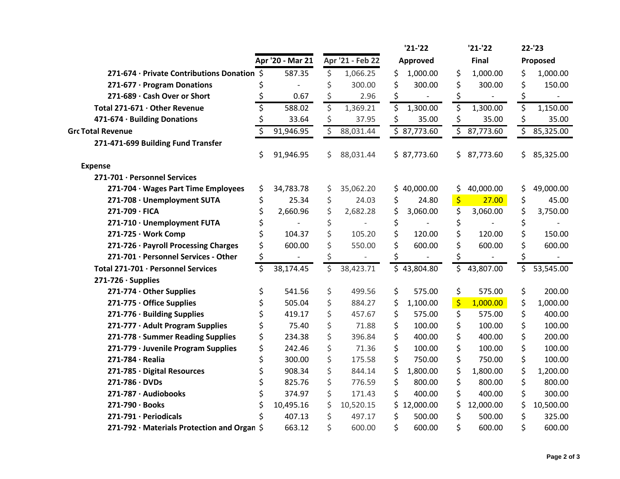|                                                   |    |                  |                         |                  |    | $'21-'22$   |    | $'21-'22$ | 22-'23          |  |  |
|---------------------------------------------------|----|------------------|-------------------------|------------------|----|-------------|----|-----------|-----------------|--|--|
|                                                   |    | Apr '20 - Mar 21 |                         | Apr '21 - Feb 22 |    | Approved    |    | Final     | Proposed        |  |  |
| 271-674 · Private Contributions Donation \$       |    | 587.35           | \$                      | 1,066.25         | \$ | 1,000.00    | \$ | 1,000.00  | \$<br>1,000.00  |  |  |
| 271-677 · Program Donations                       |    |                  | \$                      | 300.00           | \$ | 300.00      | \$ | 300.00    | \$<br>150.00    |  |  |
| 271-689 · Cash Over or Short                      |    | 0.67             | \$                      | 2.96             | \$ |             |    |           | \$              |  |  |
| Total 271-671 · Other Revenue                     | Ś  | 588.02           | \$                      | 1,369.21         | \$ | 1,300.00    | \$ | 1,300.00  | \$<br>1,150.00  |  |  |
| 471-674 · Building Donations                      |    | 33.64            | \$                      | 37.95            | \$ | 35.00       | \$ | 35.00     | \$<br>35.00     |  |  |
| <b>Grc Total Revenue</b>                          |    | 91,946.95        | $\overline{\mathsf{S}}$ | 88,031.44        |    | \$87,773.60 | \$ | 87,773.60 | \$<br>85,325.00 |  |  |
| 271-471-699 Building Fund Transfer                |    |                  |                         |                  |    |             |    |           |                 |  |  |
|                                                   | \$ | 91,946.95        | \$                      | 88,031.44        |    | \$87,773.60 | \$ | 87,773.60 | \$<br>85,325.00 |  |  |
| <b>Expense</b>                                    |    |                  |                         |                  |    |             |    |           |                 |  |  |
| 271-701 · Personnel Services                      |    |                  |                         |                  |    |             |    |           |                 |  |  |
| 271-704 · Wages Part Time Employees               | \$ | 34,783.78        | \$                      | 35,062.20        |    | \$40,000.00 | \$ | 40,000.00 | \$<br>49,000.00 |  |  |
| 271-708 · Unemployment SUTA                       | \$ | 25.34            | \$                      | 24.03            | \$ | 24.80       | \$ | 27.00     | \$<br>45.00     |  |  |
| 271-709 · FICA                                    | \$ | 2,660.96         | \$                      | 2,682.28         | \$ | 3,060.00    | \$ | 3,060.00  | \$<br>3,750.00  |  |  |
| 271-710 · Unemployment FUTA                       |    |                  | \$                      |                  | \$ |             | \$ |           | \$              |  |  |
| 271-725 · Work Comp                               |    | 104.37           | \$                      | 105.20           | \$ | 120.00      | Ś  | 120.00    | \$<br>150.00    |  |  |
| 271-726 · Payroll Processing Charges              | \$ | 600.00           | \$                      | 550.00           |    | 600.00      | \$ | 600.00    | \$<br>600.00    |  |  |
| 271-701 · Personnel Services - Other              | \$ |                  |                         |                  |    |             |    |           | \$              |  |  |
| Total 271-701 · Personnel Services                | \$ | 38,174.45        | \$                      | 38,423.71        |    | \$43,804.80 | \$ | 43,807.00 | \$<br>53,545.00 |  |  |
| $271-726 \cdot$ Supplies                          |    |                  |                         |                  |    |             |    |           |                 |  |  |
| 271-774 · Other Supplies                          | \$ | 541.56           | \$                      | 499.56           | \$ | 575.00      | \$ | 575.00    | \$<br>200.00    |  |  |
| 271-775 · Office Supplies                         | \$ | 505.04           | \$                      | 884.27           | \$ | 1,100.00    | \$ | 1,000.00  | \$<br>1,000.00  |  |  |
| 271-776 · Building Supplies                       | \$ | 419.17           | \$                      | 457.67           | \$ | 575.00      | \$ | 575.00    | \$<br>400.00    |  |  |
| 271-777 · Adult Program Supplies                  | \$ | 75.40            | \$                      | 71.88            | \$ | 100.00      | \$ | 100.00    | \$<br>100.00    |  |  |
| 271-778 · Summer Reading Supplies                 | \$ | 234.38           | \$                      | 396.84           | \$ | 400.00      | \$ | 400.00    | \$<br>200.00    |  |  |
| 271-779 · Juvenile Program Supplies               | \$ | 242.46           | \$                      | 71.36            | \$ | 100.00      | \$ | 100.00    | \$<br>100.00    |  |  |
| $271-784 \cdot Realia$                            | \$ | 300.00           | \$                      | 175.58           | \$ | 750.00      | \$ | 750.00    | \$<br>100.00    |  |  |
| 271-785 · Digital Resources                       | \$ | 908.34           | \$                      | 844.14           | \$ | 1,800.00    | \$ | 1,800.00  | \$<br>1,200.00  |  |  |
| $271 - 786 \cdot DVDs$                            | \$ | 825.76           | \$                      | 776.59           | \$ | 800.00      | \$ | 800.00    | \$<br>800.00    |  |  |
| 271-787 · Audiobooks                              |    | 374.97           | \$                      | 171.43           | \$ | 400.00      | \$ | 400.00    | \$<br>300.00    |  |  |
| 271-790 · Books                                   |    | 10,495.16        | \$                      | 10,520.15        | Ś. | 12,000.00   | \$ | 12,000.00 | \$<br>10,500.00 |  |  |
| 271-791 · Periodicals                             |    | 407.13           | \$                      | 497.17           | \$ | 500.00      | \$ | 500.00    | \$<br>325.00    |  |  |
| 271-792 $\cdot$ Materials Protection and Organ \$ |    | 663.12           | \$                      | 600.00           | \$ | 600.00      | \$ | 600.00    | \$<br>600.00    |  |  |